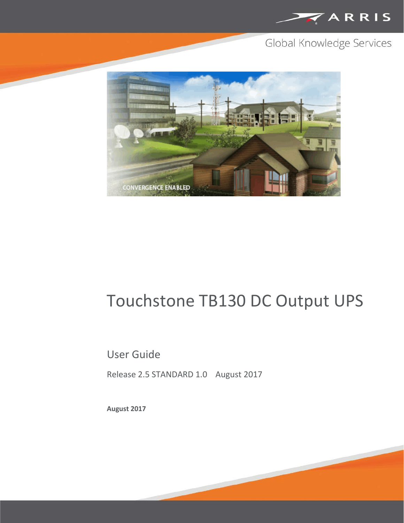

## Global Knowledge Services



# Touchstone TB130 DC Output UPS

### User Guide

Release 2.5 STANDARD 1.0 August 2017

**August 2017**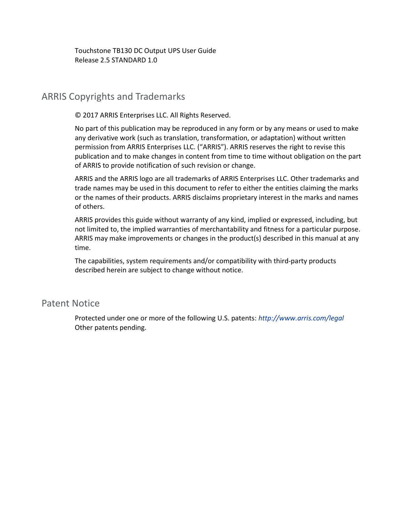Touchstone TB130 DC Output UPS User Guide Release 2.5 STANDARD 1.0

#### ARRIS Copyrights and Trademarks

© 2017 ARRIS Enterprises LLC. All Rights Reserved.

No part of this publication may be reproduced in any form or by any means or used to make any derivative work (such as translation, transformation, or adaptation) without written permission from ARRIS Enterprises LLC. ("ARRIS"). ARRIS reserves the right to revise this publication and to make changes in content from time to time without obligation on the part of ARRIS to provide notification of such revision or change.

ARRIS and the ARRIS logo are all trademarks of ARRIS Enterprises LLC. Other trademarks and trade names may be used in this document to refer to either the entities claiming the marks or the names of their products. ARRIS disclaims proprietary interest in the marks and names of others.

ARRIS provides this guide without warranty of any kind, implied or expressed, including, but not limited to, the implied warranties of merchantability and fitness for a particular purpose. ARRIS may make improvements or changes in the product(s) described in this manual at any time.

The capabilities, system requirements and/or compatibility with third-party products described herein are subject to change without notice.

#### Patent Notice

Protected under one or more of the following U.S. patents: *<http://www.arris.com/legal>* Other patents pending.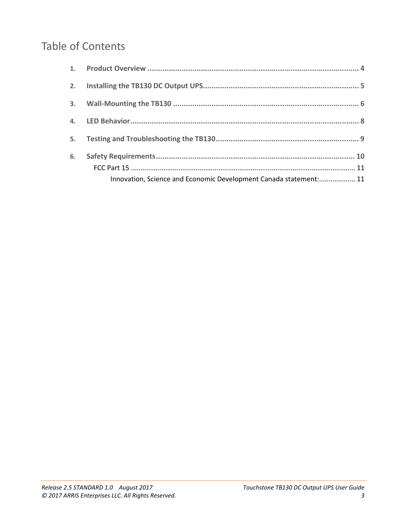## Table of Contents

| 5. |                                                                   |  |
|----|-------------------------------------------------------------------|--|
| 6. |                                                                   |  |
|    |                                                                   |  |
|    | Innovation, Science and Economic Development Canada statement: 11 |  |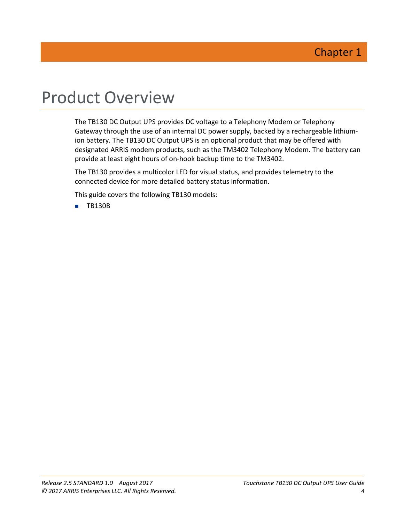## <span id="page-3-0"></span>Product Overview

The TB130 DC Output UPS provides DC voltage to a Telephony Modem or Telephony Gateway through the use of an internal DC power supply, backed by a rechargeable lithiumion battery. The TB130 DC Output UPS is an optional product that may be offered with designated ARRIS modem products, such as the TM3402 Telephony Modem. The battery can provide at least eight hours of on-hook backup time to the TM3402.

The TB130 provides a multicolor LED for visual status, and provides telemetry to the connected device for more detailed battery status information.

This guide covers the following TB130 models:

**TB130B**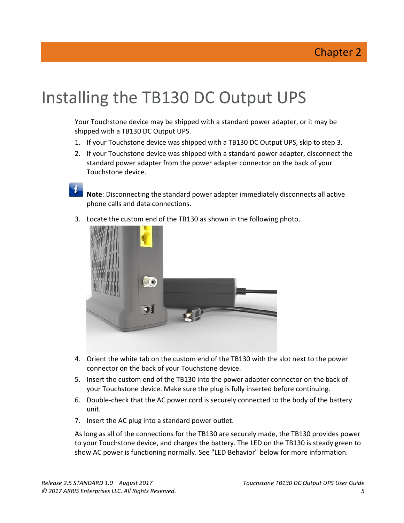# <span id="page-4-0"></span>Installing the TB130 DC Output UPS

Your Touchstone device may be shipped with a standard power adapter, or it may be shipped with a TB130 DC Output UPS.

- 1. If your Touchstone device was shipped with a TB130 DC Output UPS, skip to step 3.
- 2. If your Touchstone device was shipped with a standard power adapter, disconnect the standard power adapter from the power adapter connector on the back of your Touchstone device.

**Note**: Disconnecting the standard power adapter immediately disconnects all active phone calls and data connections.

3. Locate the custom end of the TB130 as shown in the following photo.



- 4. Orient the white tab on the custom end of the TB130 with the slot next to the power connector on the back of your Touchstone device.
- 5. Insert the custom end of the TB130 into the power adapter connector on the back of your Touchstone device. Make sure the plug is fully inserted before continuing.
- 6. Double-check that the AC power cord is securely connected to the body of the battery unit.
- 7. Insert the AC plug into a standard power outlet.

As long as all of the connections for the TB130 are securely made, the TB130 provides power to your Touchstone device, and charges the battery. The LED on the TB130 is steady green to show AC power is functioning normally. See "LED Behavior" below for more information.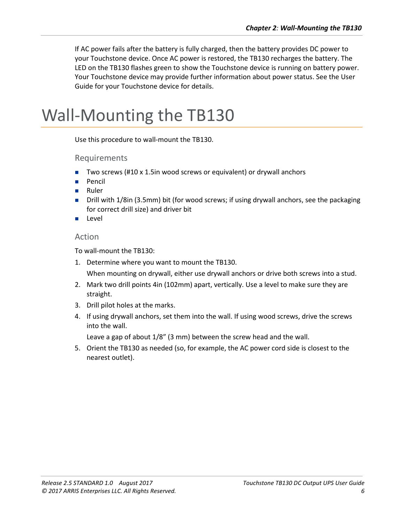If AC power fails after the battery is fully charged, then the battery provides DC power to your Touchstone device. Once AC power is restored, the TB130 recharges the battery. The LED on the TB130 flashes green to show the Touchstone device is running on battery power. Your Touchstone device may provide further information about power status. See the User Guide for your Touchstone device for details.

## <span id="page-5-0"></span>Wall-Mounting the TB130

Use this procedure to wall-mount the TB130.

Requirements

- Two screws (#10 x 1.5in wood screws or equivalent) or drywall anchors
- Pencil
- **Ruler**
- Drill with 1/8in (3.5mm) bit (for wood screws; if using drywall anchors, see the packaging for correct drill size) and driver bit
- **Level**

#### Action

To wall-mount the TB130:

1. Determine where you want to mount the TB130.

When mounting on drywall, either use drywall anchors or drive both screws into a stud.

- 2. Mark two drill points 4in (102mm) apart, vertically. Use a level to make sure they are straight.
- 3. Drill pilot holes at the marks.
- 4. If using drywall anchors, set them into the wall. If using wood screws, drive the screws into the wall.

Leave a gap of about 1/8" (3 mm) between the screw head and the wall.

5. Orient the TB130 as needed (so, for example, the AC power cord side is closest to the nearest outlet).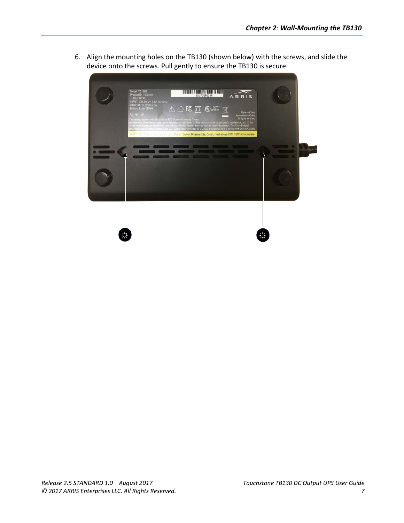6. Align the mounting holes on the TB130 (shown below) with the screws, and slide the device onto the screws. Pull gently to ensure the TB130 is secure.

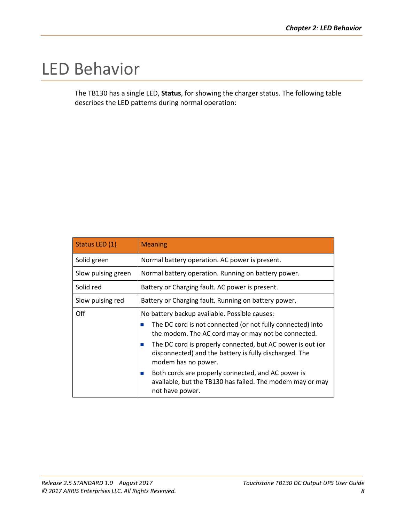# <span id="page-7-0"></span>LED Behavior

The TB130 has a single LED, **Status**, for showing the charger status. The following table describes the LED patterns during normal operation:

| Status LED (1)     | <b>Meaning</b>                                                                                                                                        |
|--------------------|-------------------------------------------------------------------------------------------------------------------------------------------------------|
| Solid green        | Normal battery operation. AC power is present.                                                                                                        |
| Slow pulsing green | Normal battery operation. Running on battery power.                                                                                                   |
| Solid red          | Battery or Charging fault. AC power is present.                                                                                                       |
| Slow pulsing red   | Battery or Charging fault. Running on battery power.                                                                                                  |
| Off                | No battery backup available. Possible causes:                                                                                                         |
|                    | The DC cord is not connected (or not fully connected) into<br>ш<br>the modem. The AC cord may or may not be connected.                                |
|                    | The DC cord is properly connected, but AC power is out (or<br>$\sim$<br>disconnected) and the battery is fully discharged. The<br>modem has no power. |
|                    | Both cords are properly connected, and AC power is<br>ш<br>available, but the TB130 has failed. The modem may or may<br>not have power.               |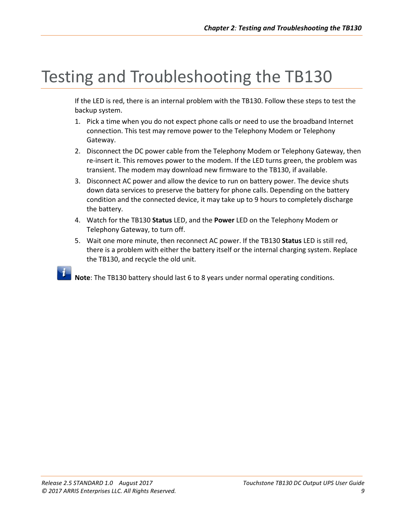# <span id="page-8-0"></span>Testing and Troubleshooting the TB130

If the LED is red, there is an internal problem with the TB130. Follow these steps to test the backup system.

- 1. Pick a time when you do not expect phone calls or need to use the broadband Internet connection. This test may remove power to the Telephony Modem or Telephony Gateway.
- 2. Disconnect the DC power cable from the Telephony Modem or Telephony Gateway, then re-insert it. This removes power to the modem. If the LED turns green, the problem was transient. The modem may download new firmware to the TB130, if available.
- 3. Disconnect AC power and allow the device to run on battery power. The device shuts down data services to preserve the battery for phone calls. Depending on the battery condition and the connected device, it may take up to 9 hours to completely discharge the battery.
- 4. Watch for the TB130 **Status** LED, and the **Power** LED on the Telephony Modem or Telephony Gateway, to turn off.
- 5. Wait one more minute, then reconnect AC power. If the TB130 **Status** LED is still red, there is a problem with either the battery itself or the internal charging system. Replace the TB130, and recycle the old unit.

**Note**: The TB130 battery should last 6 to 8 years under normal operating conditions.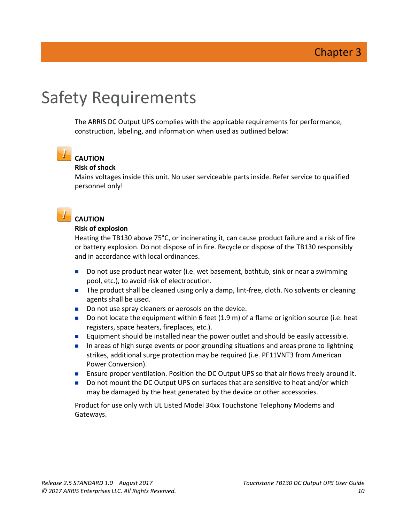# <span id="page-9-0"></span>Safety Requirements

The ARRIS DC Output UPS complies with the applicable requirements for performance, construction, labeling, and information when used as outlined below:

### **CAUTION**

#### **Risk of shock**

Mains voltages inside this unit. No user serviceable parts inside. Refer service to qualified personnel only!



#### **CAUTION**

#### **Risk of explosion**

Heating the TB130 above 75°C, or incinerating it, can cause product failure and a risk of fire or battery explosion. Do not dispose of in fire. Recycle or dispose of the TB130 responsibly and in accordance with local ordinances.

- Do not use product near water (i.e. wet basement, bathtub, sink or near a swimming pool, etc.), to avoid risk of electrocution.
- The product shall be cleaned using only a damp, lint-free, cloth. No solvents or cleaning agents shall be used.
- Do not use spray cleaners or aerosols on the device.
- Do not locate the equipment within 6 feet (1.9 m) of a flame or ignition source (i.e. heat registers, space heaters, fireplaces, etc.).
- **Equipment should be installed near the power outlet and should be easily accessible.**
- In areas of high surge events or poor grounding situations and areas prone to lightning strikes, additional surge protection may be required (i.e. PF11VNT3 from American Power Conversion).
- **E** Ensure proper ventilation. Position the DC Output UPS so that air flows freely around it.
- Do not mount the DC Output UPS on surfaces that are sensitive to heat and/or which may be damaged by the heat generated by the device or other accessories.

Product for use only with UL Listed Model 34xx Touchstone Telephony Modems and Gateways.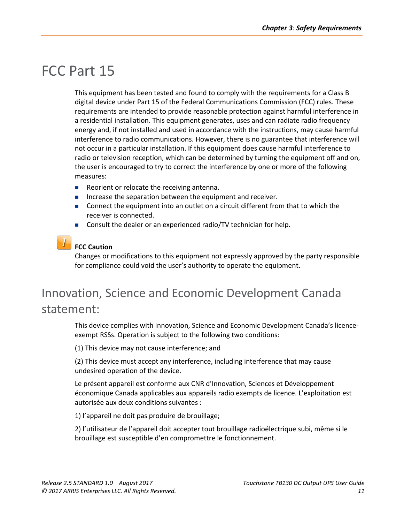## <span id="page-10-0"></span>FCC Part 15

This equipment has been tested and found to comply with the requirements for a Class B digital device under Part 15 of the Federal Communications Commission (FCC) rules. These requirements are intended to provide reasonable protection against harmful interference in a residential installation. This equipment generates, uses and can radiate radio frequency energy and, if not installed and used in accordance with the instructions, may cause harmful interference to radio communications. However, there is no guarantee that interference will not occur in a particular installation. If this equipment does cause harmful interference to radio or television reception, which can be determined by turning the equipment off and on, the user is encouraged to try to correct the interference by one or more of the following measures:

- Reorient or relocate the receiving antenna.
- Increase the separation between the equipment and receiver.
- **Connect the equipment into an outlet on a circuit different from that to which the** receiver is connected.
- Consult the dealer or an experienced radio/TV technician for help.

#### **FCC Caution**

Changes or modifications to this equipment not expressly approved by the party responsible for compliance could void the user's authority to operate the equipment.

## <span id="page-10-1"></span>Innovation, Science and Economic Development Canada statement:

This device complies with Innovation, Science and Economic Development Canada's licenceexempt RSSs. Operation is subject to the following two conditions:

(1) This device may not cause interference; and

(2) This device must accept any interference, including interference that may cause undesired operation of the device.

Le présent appareil est conforme aux CNR d'Innovation, Sciences et Développement économique Canada applicables aux appareils radio exempts de licence. L'exploitation est autorisée aux deux conditions suivantes :

1) l'appareil ne doit pas produire de brouillage;

2) l'utilisateur de l'appareil doit accepter tout brouillage radioélectrique subi, même si le brouillage est susceptible d'en compromettre le fonctionnement.